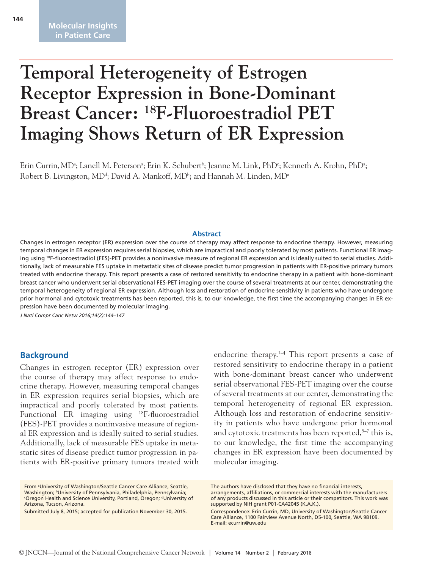# **Temporal Heterogeneity of Estrogen Receptor Expression in Bone-Dominant Breast Cancer: 18F-Fluoroestradiol PET Imaging Shows Return of ER Expression**

Erin Currin, MDª; Lanell M. Petersonª; Erin K. Schubert<sup>ь</sup>; Jeanne M. Link, PhD°; Kenneth A. Krohn, PhDª; Robert B. Livingston, MD<sup>d</sup>; David A. Mankoff, MD<sup>b</sup>; and Hannah M. Linden, MD<sup>a</sup>

#### **Abstract**

Changes in estrogen receptor (ER) expression over the course of therapy may affect response to endocrine therapy. However, measuring temporal changes in ER expression requires serial biopsies, which are impractical and poorly tolerated by most patients. Functional ER imaging using 18F-fluoroestradiol (FES)-PET provides a noninvasive measure of regional ER expression and is ideally suited to serial studies. Additionally, lack of measurable FES uptake in metastatic sites of disease predict tumor progression in patients with ER-positive primary tumors treated with endocrine therapy. This report presents a case of restored sensitivity to endocrine therapy in a patient with bone-dominant breast cancer who underwent serial observational FES-PET imaging over the course of several treatments at our center, demonstrating the temporal heterogeneity of regional ER expression. Although loss and restoration of endocrine sensitivity in patients who have undergone prior hormonal and cytotoxic treatments has been reported, this is, to our knowledge, the first time the accompanying changes in ER expression have been documented by molecular imaging.

*J Natl Compr Canc Netw 2016;14(2):144–147*

#### **Background**

Changes in estrogen receptor (ER) expression over the course of therapy may affect response to endocrine therapy. However, measuring temporal changes in ER expression requires serial biopsies, which are impractical and poorly tolerated by most patients. Functional ER imaging using 18F-fluoroestradiol (FES)-PET provides a noninvasive measure of regional ER expression and is ideally suited to serial studies. Additionally, lack of measurable FES uptake in metastatic sites of disease predict tumor progression in patients with ER-positive primary tumors treated with

Submitted July 8, 2015; accepted for publication November 30, 2015.

endocrine therapy.<sup>1-4</sup> This report presents a case of restored sensitivity to endocrine therapy in a patient with bone-dominant breast cancer who underwent serial observational FES-PET imaging over the course of several treatments at our center, demonstrating the temporal heterogeneity of regional ER expression. Although loss and restoration of endocrine sensitivity in patients who have undergone prior hormonal and cytotoxic treatments has been reported, $5-7$  this is, to our knowledge, the first time the accompanying changes in ER expression have been documented by molecular imaging.

From <sup>a</sup>University of Washington/Seattle Cancer Care Alliance, Seattle, Washington; <sup>b</sup>University of Pennsylvania, Philadelphia, Pennsylvania; <sup>c</sup>Oregon Health and Science University, Portland, Oregon; dUniversity of Arizona, Tucson, Arizona.

The authors have disclosed that they have no financial interests, arrangements, affiliations, or commercial interests with the manufacturers of any products discussed in this article or their competitors. This work was supported by NIH grant P01-CA42045 (K.A.K.).

Correspondence: Erin Currin, MD, University of Washington/Seattle Cancer Care Alliance, 1100 Fairview Avenue North, D5-100, Seattle, WA 98109. E-mail: ecurrin@uw.edu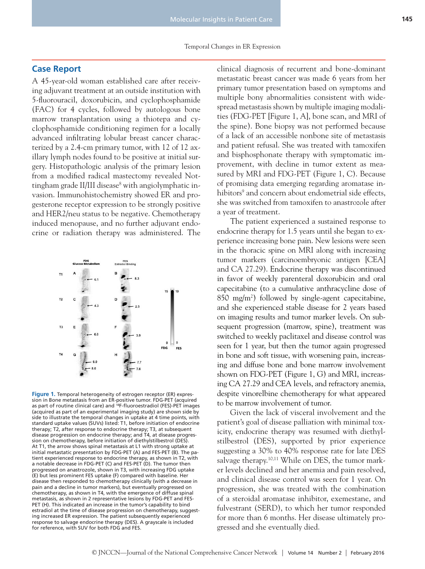### **Case Report**

A 45-year-old woman established care after receiving adjuvant treatment at an outside institution with 5-fluorouracil, doxorubicin, and cyclophosphamide (FAC) for 4 cycles, followed by autologous bone marrow transplantation using a thiotepa and cyclophosphamide conditioning regimen for a locally advanced infiltrating lobular breast cancer characterized by a 2.4-cm primary tumor, with 12 of 12 axillary lymph nodes found to be positive at initial surgery. Histopathologic analysis of the primary lesion from a modified radical mastectomy revealed Nottingham grade II/III disease<sup>8</sup> with angiolymphatic invasion. Immunohistochemistry showed ER and progesterone receptor expression to be strongly positive and HER2/neu status to be negative. Chemotherapy induced menopause, and no further adjuvant endocrine or radiation therapy was administered. The



**Figure 1.** Temporal heterogeneity of estrogen receptor (ER) expression in Bone metastasis from an ER-positive tumor. FDG-PET (acquired as part of routine clinical care) and <sup>18</sup>F-fluoroestradiol (FES)-PET images (acquired as part of an experimental imaging study) are shown side by side to illustrate the temporal changes in uptake at 4 time points, with standard uptake values (SUVs) listed: T1, before initiation of endocrine therapy; T2, after response to endocrine therapy; T3, at subsequent disease progression on endocrine therapy; and T4, at disease progression on chemotherapy, before initiation of diethylstilbestrol (DES). At T1, the arrow shows spinal metastasis at L1 with strong uptake at initial metastatic presentation by FDG-PET (A) and FES-PET (B). The patient experienced response to endocrine therapy, as shown in T2, with a notable decrease in FDG-PET (C) and FES-PET (D). The tumor then progressed on anastrozole, shown in T3, with increasing FDG uptake (E) but less prominent FES uptake (F) compared with baseline. Her disease then responded to chemotherapy clinically (with a decrease in pain and a decline in tumor markers), but eventually progressed on chemotherapy, as shown in T4, with the emergence of diffuse spinal metastasis, as shown in 2 representative lesions by FDG-PET and FES-PET (H). This indicated an increase in the tumor's capability to bind estradiol at the time of disease progression on chemotherapy, suggesting increased ER expression. The patient subsequently experienced response to salvage endocrine therapy (DES). A grayscale is included for reference, with SUV for both FDG and FES.

clinical diagnosis of recurrent and bone-dominant metastatic breast cancer was made 6 years from her primary tumor presentation based on symptoms and multiple bony abnormalities consistent with widespread metastasis shown by multiple imaging modalities (FDG-PET [Figure 1, A], bone scan, and MRI of the spine). Bone biopsy was not performed because of a lack of an accessible nonbone site of metastasis and patient refusal. She was treated with tamoxifen and bisphosphonate therapy with symptomatic improvement, with decline in tumor extent as measured by MRI and FDG-PET (Figure 1, C). Because of promising data emerging regarding aromatase inhibitors<sup>9</sup> and concern about endometrial side effects, she was switched from tamoxifen to anastrozole after a year of treatment.

The patient experienced a sustained response to endocrine therapy for 1.5 years until she began to experience increasing bone pain. New lesions were seen in the thoracic spine on MRI along with increasing tumor markers (carcinoembryonic antigen [CEA] and CA 27.29). Endocrine therapy was discontinued in favor of weekly parenteral doxorubicin and oral capecitabine (to a cumulative anthracycline dose of  $850 \, \text{mg/m}^2$ ) followed by single-agent capecitabine, and she experienced stable disease for 2 years based on imaging results and tumor marker levels. On subsequent progression (marrow, spine), treatment was switched to weekly paclitaxel and disease control was seen for 1 year, but then the tumor again progressed in bone and soft tissue, with worsening pain, increasing and diffuse bone and bone marrow involvement shown on FDG-PET (Figure 1, G) and MRI, increasing CA 27.29 and CEA levels, and refractory anemia, despite vinorelbine chemotherapy for what appeared to be marrow involvement of tumor.

Given the lack of visceral involvement and the patient's goal of disease palliation with minimal toxicity, endocrine therapy was resumed with diethylstilbestrol (DES), supported by prior experience suggesting a 30% to 40% response rate for late DES salvage therapy.<sup>10,11</sup> While on DES, the tumor marker levels declined and her anemia and pain resolved, and clinical disease control was seen for 1 year. On progression, she was treated with the combination of a steroidal aromatase inhibitor, exemestane, and fulvestrant (SERD), to which her tumor responded for more than 6 months. Her disease ultimately progressed and she eventually died.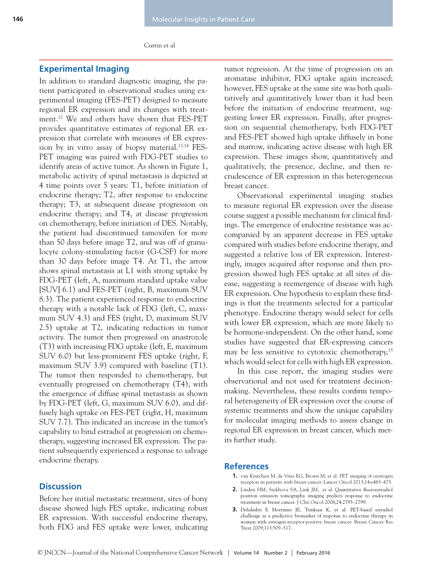Currin et al

### **Experimental Imaging**

In addition to standard diagnostic imaging, the patient participated in observational studies using experimental imaging (FES-PET) designed to measure regional ER expression and its changes with treatment.12 We and others have shown that FES-PET provides quantitative estimates of regional ER expression that correlate with measures of ER expression by in vitro assay of biopsy material.<sup>13,14</sup> FES-PET imaging was paired with FDG-PET studies to identify areas of active tumor. As shown in Figure 1, metabolic activity of spinal metastasis is depicted at 4 time points over 5 years: T1, before initiation of endocrine therapy; T2, after response to endocrine therapy; T3, at subsequent disease progression on endocrine therapy; and T4, at disease progression on chemotherapy, before initiation of DES. Notably, the patient had discontinued tamoxifen for more than 50 days before image T2, and was off of granulocyte colony-stimulating factor (G-CSF) for more than 30 days before image T4. At T1, the arrow shows spinal metastasis at L1 with strong uptake by FDG-PET (left, A, maximum standard uptake value [SUV] 6.1) and FES-PET (right, B, maximum SUV 8.3). The patient experienced response to endocrine therapy with a notable lack of FDG (left, C, maximum SUV 4.3) and FES (right, D, maximum SUV 2.5) uptake at T2, indicating reduction in tumor activity. The tumor then progressed on anastrozole (T3) with increasing FDG uptake (left, E, maximum SUV 6.0) but less-prominent FES uptake (right, F, maximum SUV 3.9) compared with baseline (T1). The tumor then responded to chemotherapy, but eventually progressed on chemotherapy (T4), with the emergence of diffuse spinal metastasis as shown by FDG-PET (left, G, maximum SUV 6.0), and diffusely high uptake on FES-PET (right, H, maximum SUV 7.7). This indicated an increase in the tumor's capability to bind estradiol at progression on chemotherapy, suggesting increased ER expression. The patient subsequently experienced a response to salvage endocrine therapy.

## **Discussion**

Before her initial metastatic treatment, sites of bony disease showed high FES uptake, indicating robust ER expression. With successful endocrine therapy, both FDG and FES uptake were lower, indicating tumor regression. At the time of progression on an aromatase inhibitor, FDG uptake again increased; however, FES uptake at the same site was both qualitatively and quantitatively lower than it had been before the initiation of endocrine treatment, suggesting lower ER expression. Finally, after progression on sequential chemotherapy, both FDG-PET and FES-PET showed high uptake diffusely in bone and marrow, indicating active disease with high ER expression. These images show, quantitatively and qualitatively, the presence, decline, and then recrudescence of ER expression in this heterogeneous breast cancer.

Observational experimental imaging studies to measure regional ER expression over the disease course suggest a possible mechanism for clinical findings. The emergence of endocrine resistance was accompanied by an apparent decrease in FES uptake compared with studies before endocrine therapy, and suggested a relative loss of ER expression. Interestingly, images acquired after response and then progression showed high FES uptake at all sites of disease, suggesting a reemergence of disease with high ER expression. One hypothesis to explain these findings is that the treatments selected for a particular phenotype. Endocrine therapy would select for cells with lower ER expression, which are more likely to be hormone-independent. On the other hand, some studies have suggested that ER-expressing cancers may be less sensitive to cytotoxic chemotherapy,<sup>15</sup> which would select for cells with high ER expression.

In this case report, the imaging studies were observational and not used for treatment decisionmaking. Nevertheless, these results confirm temporal heterogeneity of ER expression over the course of systemic treatments and show the unique capability for molecular imaging methods to assess change in regional ER expression in breast cancer, which merits further study.

#### **References**

- **1.** van Krutchen M, de Vries EG, Brown M, et al. PET imaging of oestrogen receptors in patients with breast cancer. Lancet Oncol 2013;14:e465–475.
- **2.** Linden HM, Stekhova SA, Link JM, et al. Quantitative fluoroestradiol positron emission tomography imaging predicts response to endocrine treatment in breast cancer. J Clin Oncol 2006;24:2793–2799.
- **3.** Dehdashti F, Mortimer JE, Trinkaus K, et al. PET-based estradiol challenge as a predictive biomarker of response to endocrine therapy in women with estrogen-receptor-positive breast cancer. Breast Cancer Res Treat 2009;113:509–517.